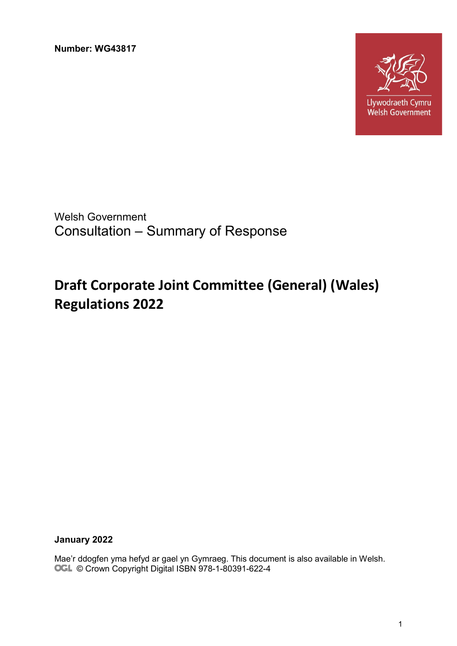**Number: WG43817**



Welsh Government Consultation – Summary of Response

# **Draft Corporate Joint Committee (General) (Wales) Regulations 2022**

**January 2022**

Mae'r ddogfen yma hefyd ar gael yn Gymraeg. This document is also available in Welsh. OGL © Crown Copyright Digital ISBN 978-1-80391-622-4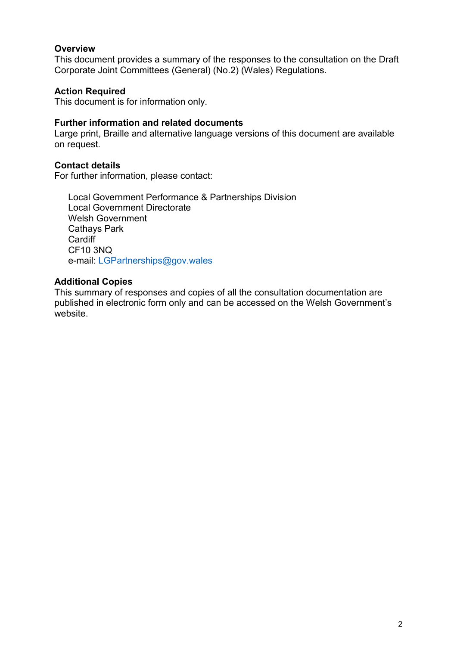#### **Overview**

This document provides a summary of the responses to the consultation on the Draft Corporate Joint Committees (General) (No.2) (Wales) Regulations.

#### **Action Required**

This document is for information only.

#### **Further information and related documents**

Large print, Braille and alternative language versions of this document are available on request.

#### **Contact details**

For further information, please contact:

Local Government Performance & Partnerships Division Local Government Directorate Welsh Government Cathays Park **Cardiff** CF10 3NQ e-mail: [LGPartnerships@gov.wales](mailto:LGPartnerships@gov.wales)

#### **Additional Copies**

This summary of responses and copies of all the consultation documentation are published in electronic form only and can be accessed on the Welsh Government's website.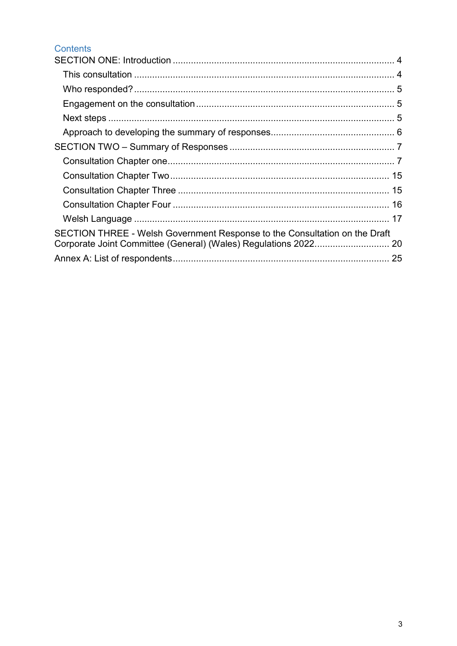## Contents

| SECTION THREE - Welsh Government Response to the Consultation on the Draft |  |
|----------------------------------------------------------------------------|--|
|                                                                            |  |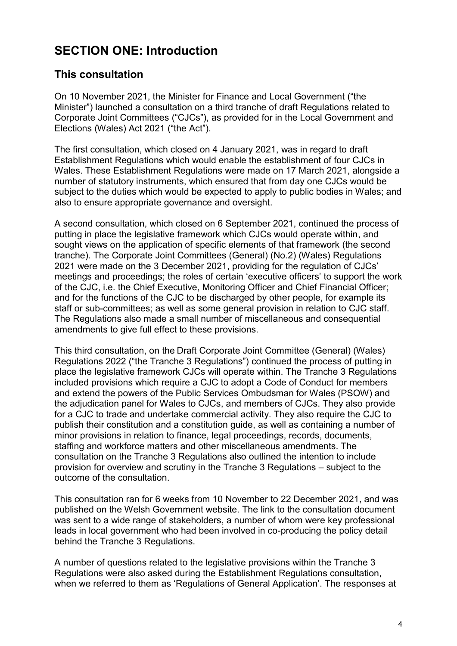# <span id="page-3-0"></span>**SECTION ONE: Introduction**

# <span id="page-3-1"></span>**This consultation**

On 10 November 2021, the Minister for Finance and Local Government ("the Minister") launched a consultation on a third tranche of draft Regulations related to Corporate Joint Committees ("CJCs"), as provided for in the Local Government and Elections (Wales) Act 2021 ("the Act").

The first consultation, which closed on 4 January 2021, was in regard to draft Establishment Regulations which would enable the establishment of four CJCs in Wales. These Establishment Regulations were made on 17 March 2021, alongside a number of statutory instruments, which ensured that from day one CJCs would be subject to the duties which would be expected to apply to public bodies in Wales; and also to ensure appropriate governance and oversight.

A second consultation, which closed on 6 September 2021, continued the process of putting in place the legislative framework which CJCs would operate within, and sought views on the application of specific elements of that framework (the second tranche). The Corporate Joint Committees (General) (No.2) (Wales) Regulations 2021 were made on the 3 December 2021, providing for the regulation of CJCs' meetings and proceedings; the roles of certain 'executive officers' to support the work of the CJC, i.e. the Chief Executive, Monitoring Officer and Chief Financial Officer; and for the functions of the CJC to be discharged by other people, for example its staff or sub-committees; as well as some general provision in relation to CJC staff. The Regulations also made a small number of miscellaneous and consequential amendments to give full effect to these provisions.

This third consultation, on the Draft Corporate Joint Committee (General) (Wales) Regulations 2022 ("the Tranche 3 Regulations") continued the process of putting in place the legislative framework CJCs will operate within. The Tranche 3 Regulations included provisions which require a CJC to adopt a Code of Conduct for members and extend the powers of the Public Services Ombudsman for Wales (PSOW) and the adjudication panel for Wales to CJCs, and members of CJCs. They also provide for a CJC to trade and undertake commercial activity. They also require the CJC to publish their constitution and a constitution guide, as well as containing a number of minor provisions in relation to finance, legal proceedings, records, documents, staffing and workforce matters and other miscellaneous amendments. The consultation on the Tranche 3 Regulations also outlined the intention to include provision for overview and scrutiny in the Tranche 3 Regulations – subject to the outcome of the consultation.

This consultation ran for 6 weeks from 10 November to 22 December 2021, and was published on the Welsh Government website. The link to the consultation document was sent to a wide range of stakeholders, a number of whom were key professional leads in local government who had been involved in co-producing the policy detail behind the Tranche 3 Regulations.

A number of questions related to the legislative provisions within the Tranche 3 Regulations were also asked during the Establishment Regulations consultation, when we referred to them as 'Regulations of General Application'. The responses at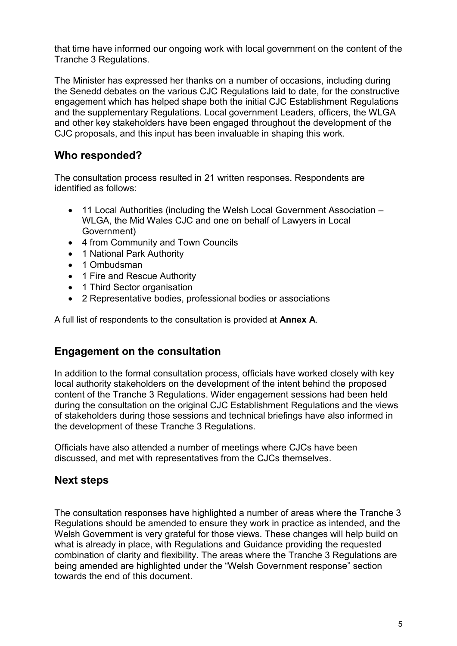that time have informed our ongoing work with local government on the content of the Tranche 3 Regulations.

The Minister has expressed her thanks on a number of occasions, including during the Senedd debates on the various CJC Regulations laid to date, for the constructive engagement which has helped shape both the initial CJC Establishment Regulations and the supplementary Regulations. Local government Leaders, officers, the WLGA and other key stakeholders have been engaged throughout the development of the CJC proposals, and this input has been invaluable in shaping this work.

# <span id="page-4-0"></span>**Who responded?**

The consultation process resulted in 21 written responses. Respondents are identified as follows:

- 11 Local Authorities (including the Welsh Local Government Association WLGA, the Mid Wales CJC and one on behalf of Lawyers in Local Government)
- 4 from Community and Town Councils
- 1 National Park Authority
- 1 Ombudsman
- 1 Fire and Rescue Authority
- 1 Third Sector organisation
- 2 Representative bodies, professional bodies or associations

A full list of respondents to the consultation is provided at **Annex A**.

## <span id="page-4-1"></span>**Engagement on the consultation**

In addition to the formal consultation process, officials have worked closely with key local authority stakeholders on the development of the intent behind the proposed content of the Tranche 3 Regulations. Wider engagement sessions had been held during the consultation on the original CJC Establishment Regulations and the views of stakeholders during those sessions and technical briefings have also informed in the development of these Tranche 3 Regulations.

Officials have also attended a number of meetings where CJCs have been discussed, and met with representatives from the CJCs themselves.

# <span id="page-4-2"></span>**Next steps**

The consultation responses have highlighted a number of areas where the Tranche 3 Regulations should be amended to ensure they work in practice as intended, and the Welsh Government is very grateful for those views. These changes will help build on what is already in place, with Regulations and Guidance providing the requested combination of clarity and flexibility. The areas where the Tranche 3 Regulations are being amended are highlighted under the "Welsh Government response" section towards the end of this document.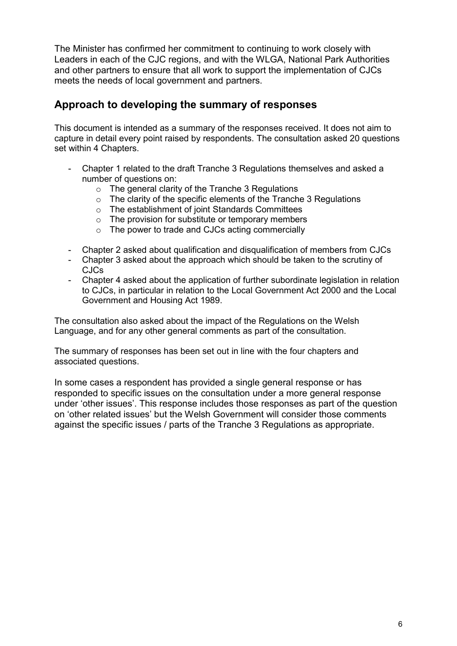The Minister has confirmed her commitment to continuing to work closely with Leaders in each of the CJC regions, and with the WLGA, National Park Authorities and other partners to ensure that all work to support the implementation of CJCs meets the needs of local government and partners.

## <span id="page-5-0"></span>**Approach to developing the summary of responses**

This document is intended as a summary of the responses received. It does not aim to capture in detail every point raised by respondents. The consultation asked 20 questions set within 4 Chapters.

- Chapter 1 related to the draft Tranche 3 Regulations themselves and asked a number of questions on:
	- o The general clarity of the Tranche 3 Regulations
	- o The clarity of the specific elements of the Tranche 3 Regulations
	- o The establishment of joint Standards Committees
	- o The provision for substitute or temporary members
	- o The power to trade and CJCs acting commercially
- Chapter 2 asked about qualification and disqualification of members from CJCs
- Chapter 3 asked about the approach which should be taken to the scrutiny of CJCs
- Chapter 4 asked about the application of further subordinate legislation in relation to CJCs, in particular in relation to the Local Government Act 2000 and the Local Government and Housing Act 1989.

The consultation also asked about the impact of the Regulations on the Welsh Language, and for any other general comments as part of the consultation.

The summary of responses has been set out in line with the four chapters and associated questions.

In some cases a respondent has provided a single general response or has responded to specific issues on the consultation under a more general response under 'other issues'. This response includes those responses as part of the question on 'other related issues' but the Welsh Government will consider those comments against the specific issues / parts of the Tranche 3 Regulations as appropriate.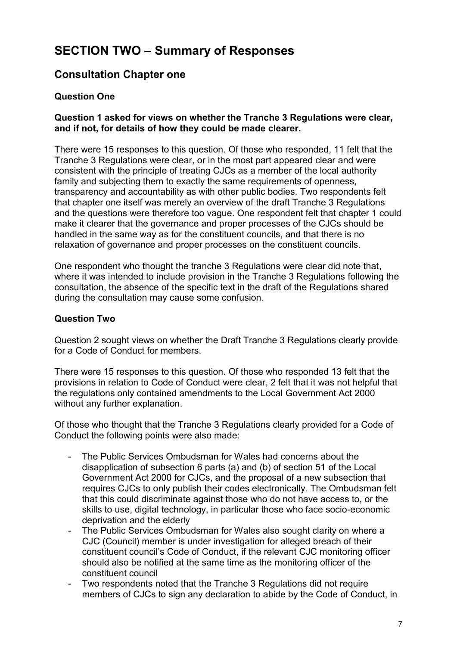# <span id="page-6-0"></span>**SECTION TWO – Summary of Responses**

# <span id="page-6-1"></span>**Consultation Chapter one**

### **Question One**

#### **Question 1 asked for views on whether the Tranche 3 Regulations were clear, and if not, for details of how they could be made clearer.**

There were 15 responses to this question. Of those who responded, 11 felt that the Tranche 3 Regulations were clear, or in the most part appeared clear and were consistent with the principle of treating CJCs as a member of the local authority family and subjecting them to exactly the same requirements of openness, transparency and accountability as with other public bodies. Two respondents felt that chapter one itself was merely an overview of the draft Tranche 3 Regulations and the questions were therefore too vague. One respondent felt that chapter 1 could make it clearer that the governance and proper processes of the CJCs should be handled in the same way as for the constituent councils, and that there is no relaxation of governance and proper processes on the constituent councils.

One respondent who thought the tranche 3 Regulations were clear did note that, where it was intended to include provision in the Tranche 3 Regulations following the consultation, the absence of the specific text in the draft of the Regulations shared during the consultation may cause some confusion.

#### **Question Two**

Question 2 sought views on whether the Draft Tranche 3 Regulations clearly provide for a Code of Conduct for members.

There were 15 responses to this question. Of those who responded 13 felt that the provisions in relation to Code of Conduct were clear, 2 felt that it was not helpful that the regulations only contained amendments to the Local Government Act 2000 without any further explanation.

Of those who thought that the Tranche 3 Regulations clearly provided for a Code of Conduct the following points were also made:

- The Public Services Ombudsman for Wales had concerns about the disapplication of subsection 6 parts (a) and (b) of section 51 of the Local Government Act 2000 for CJCs, and the proposal of a new subsection that requires CJCs to only publish their codes electronically. The Ombudsman felt that this could discriminate against those who do not have access to, or the skills to use, digital technology, in particular those who face socio-economic deprivation and the elderly
- The Public Services Ombudsman for Wales also sought clarity on where a CJC (Council) member is under investigation for alleged breach of their constituent council's Code of Conduct, if the relevant CJC monitoring officer should also be notified at the same time as the monitoring officer of the constituent council
- Two respondents noted that the Tranche 3 Regulations did not require members of CJCs to sign any declaration to abide by the Code of Conduct, in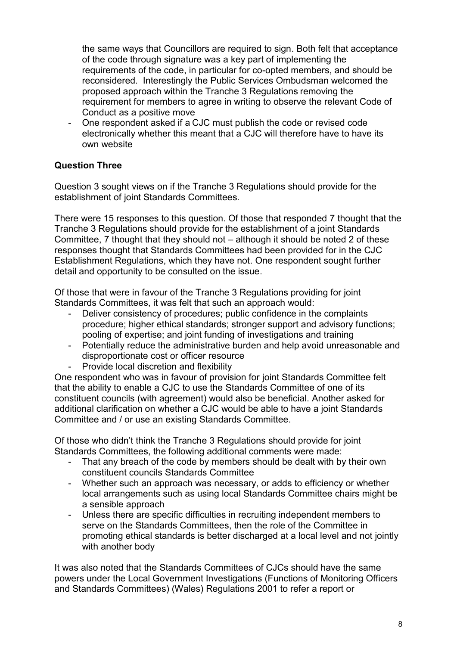the same ways that Councillors are required to sign. Both felt that acceptance of the code through signature was a key part of implementing the requirements of the code, in particular for co-opted members, and should be reconsidered. Interestingly the Public Services Ombudsman welcomed the proposed approach within the Tranche 3 Regulations removing the requirement for members to agree in writing to observe the relevant Code of Conduct as a positive move

- One respondent asked if a CJC must publish the code or revised code electronically whether this meant that a CJC will therefore have to have its own website

### **Question Three**

Question 3 sought views on if the Tranche 3 Regulations should provide for the establishment of joint Standards Committees.

There were 15 responses to this question. Of those that responded 7 thought that the Tranche 3 Regulations should provide for the establishment of a joint Standards Committee, 7 thought that they should not – although it should be noted 2 of these responses thought that Standards Committees had been provided for in the CJC Establishment Regulations, which they have not. One respondent sought further detail and opportunity to be consulted on the issue.

Of those that were in favour of the Tranche 3 Regulations providing for joint Standards Committees, it was felt that such an approach would:

- Deliver consistency of procedures; public confidence in the complaints procedure; higher ethical standards; stronger support and advisory functions; pooling of expertise; and joint funding of investigations and training
- Potentially reduce the administrative burden and help avoid unreasonable and disproportionate cost or officer resource
- Provide local discretion and flexibility

One respondent who was in favour of provision for joint Standards Committee felt that the ability to enable a CJC to use the Standards Committee of one of its constituent councils (with agreement) would also be beneficial. Another asked for additional clarification on whether a CJC would be able to have a joint Standards Committee and / or use an existing Standards Committee.

Of those who didn't think the Tranche 3 Regulations should provide for joint Standards Committees, the following additional comments were made:

- That any breach of the code by members should be dealt with by their own constituent councils Standards Committee
- Whether such an approach was necessary, or adds to efficiency or whether local arrangements such as using local Standards Committee chairs might be a sensible approach
- Unless there are specific difficulties in recruiting independent members to serve on the Standards Committees, then the role of the Committee in promoting ethical standards is better discharged at a local level and not jointly with another body

It was also noted that the Standards Committees of CJCs should have the same powers under the Local Government Investigations (Functions of Monitoring Officers and Standards Committees) (Wales) Regulations 2001 to refer a report or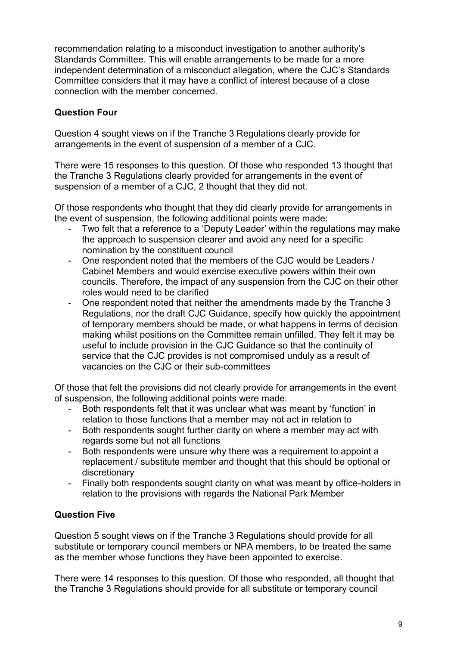recommendation relating to a misconduct investigation to another authority's Standards Committee. This will enable arrangements to be made for a more independent determination of a misconduct allegation, where the CJC's Standards Committee considers that it may have a conflict of interest because of a close connection with the member concerned.

### **Question Four**

Question 4 sought views on if the Tranche 3 Regulations clearly provide for arrangements in the event of suspension of a member of a CJC.

There were 15 responses to this question. Of those who responded 13 thought that the Tranche 3 Regulations clearly provided for arrangements in the event of suspension of a member of a CJC, 2 thought that they did not.

Of those respondents who thought that they did clearly provide for arrangements in the event of suspension, the following additional points were made:

- Two felt that a reference to a 'Deputy Leader' within the regulations may make the approach to suspension clearer and avoid any need for a specific nomination by the constituent council
- One respondent noted that the members of the CJC would be Leaders / Cabinet Members and would exercise executive powers within their own councils. Therefore, the impact of any suspension from the CJC on their other roles would need to be clarified
- One respondent noted that neither the amendments made by the Tranche 3 Regulations, nor the draft CJC Guidance, specify how quickly the appointment of temporary members should be made, or what happens in terms of decision making whilst positions on the Committee remain unfilled. They felt it may be useful to include provision in the CJC Guidance so that the continuity of service that the CJC provides is not compromised unduly as a result of vacancies on the CJC or their sub-committees

Of those that felt the provisions did not clearly provide for arrangements in the event of suspension, the following additional points were made:

- Both respondents felt that it was unclear what was meant by 'function' in relation to those functions that a member may not act in relation to
- Both respondents sought further clarity on where a member may act with regards some but not all functions
- Both respondents were unsure why there was a requirement to appoint a replacement / substitute member and thought that this should be optional or discretionary
- Finally both respondents sought clarity on what was meant by office-holders in relation to the provisions with regards the National Park Member

## **Question Five**

Question 5 sought views on if the Tranche 3 Regulations should provide for all substitute or temporary council members or NPA members, to be treated the same as the member whose functions they have been appointed to exercise.

There were 14 responses to this question. Of those who responded, all thought that the Tranche 3 Regulations should provide for all substitute or temporary council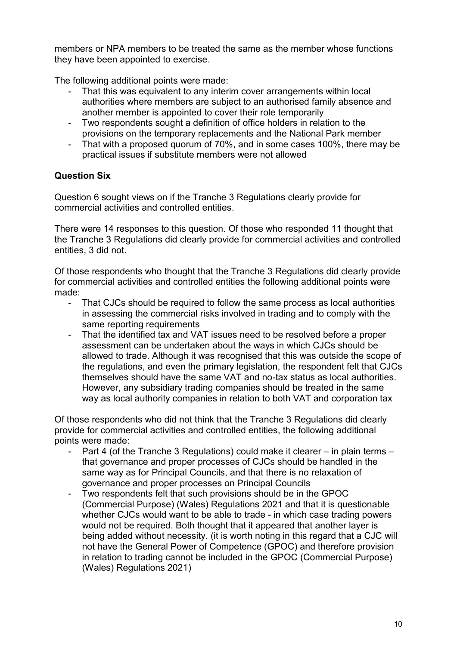members or NPA members to be treated the same as the member whose functions they have been appointed to exercise.

The following additional points were made:

- That this was equivalent to any interim cover arrangements within local authorities where members are subject to an authorised family absence and another member is appointed to cover their role temporarily
- Two respondents sought a definition of office holders in relation to the provisions on the temporary replacements and the National Park member
- That with a proposed quorum of 70%, and in some cases 100%, there may be practical issues if substitute members were not allowed

## **Question Six**

Question 6 sought views on if the Tranche 3 Regulations clearly provide for commercial activities and controlled entities.

There were 14 responses to this question. Of those who responded 11 thought that the Tranche 3 Regulations did clearly provide for commercial activities and controlled entities, 3 did not.

Of those respondents who thought that the Tranche 3 Regulations did clearly provide for commercial activities and controlled entities the following additional points were made:

- That CJCs should be required to follow the same process as local authorities in assessing the commercial risks involved in trading and to comply with the same reporting requirements
- That the identified tax and VAT issues need to be resolved before a proper assessment can be undertaken about the ways in which CJCs should be allowed to trade. Although it was recognised that this was outside the scope of the regulations, and even the primary legislation, the respondent felt that CJCs themselves should have the same VAT and no-tax status as local authorities. However, any subsidiary trading companies should be treated in the same way as local authority companies in relation to both VAT and corporation tax

Of those respondents who did not think that the Tranche 3 Regulations did clearly provide for commercial activities and controlled entities, the following additional points were made:

- Part 4 (of the Tranche 3 Regulations) could make it clearer in plain terms that governance and proper processes of CJCs should be handled in the same way as for Principal Councils, and that there is no relaxation of governance and proper processes on Principal Councils
- Two respondents felt that such provisions should be in the GPOC (Commercial Purpose) (Wales) Regulations 2021 and that it is questionable whether CJCs would want to be able to trade - in which case trading powers would not be required. Both thought that it appeared that another layer is being added without necessity. (it is worth noting in this regard that a CJC will not have the General Power of Competence (GPOC) and therefore provision in relation to trading cannot be included in the GPOC (Commercial Purpose) (Wales) Regulations 2021)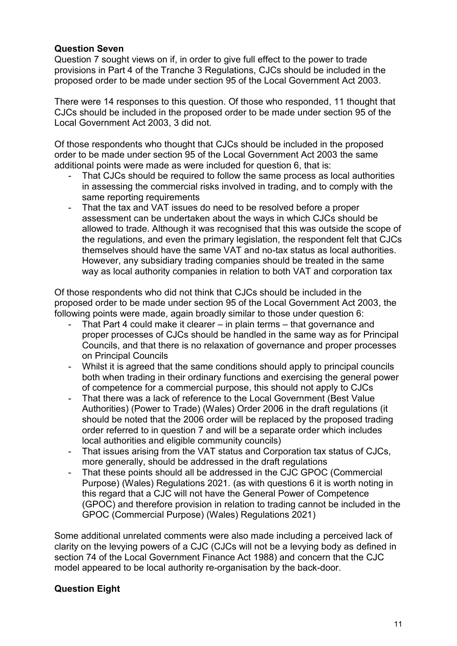#### **Question Seven**

Question 7 sought views on if, in order to give full effect to the power to trade provisions in Part 4 of the Tranche 3 Regulations, CJCs should be included in the proposed order to be made under section 95 of the Local Government Act 2003.

There were 14 responses to this question. Of those who responded, 11 thought that CJCs should be included in the proposed order to be made under section 95 of the Local Government Act 2003, 3 did not.

Of those respondents who thought that CJCs should be included in the proposed order to be made under section 95 of the Local Government Act 2003 the same additional points were made as were included for question 6, that is:

- That CJCs should be required to follow the same process as local authorities in assessing the commercial risks involved in trading, and to comply with the same reporting requirements
- That the tax and VAT issues do need to be resolved before a proper assessment can be undertaken about the ways in which CJCs should be allowed to trade. Although it was recognised that this was outside the scope of the regulations, and even the primary legislation, the respondent felt that CJCs themselves should have the same VAT and no-tax status as local authorities. However, any subsidiary trading companies should be treated in the same way as local authority companies in relation to both VAT and corporation tax

Of those respondents who did not think that CJCs should be included in the proposed order to be made under section 95 of the Local Government Act 2003, the following points were made, again broadly similar to those under question 6:

- That Part 4 could make it clearer in plain terms that governance and proper processes of CJCs should be handled in the same way as for Principal Councils, and that there is no relaxation of governance and proper processes on Principal Councils
- Whilst it is agreed that the same conditions should apply to principal councils both when trading in their ordinary functions and exercising the general power of competence for a commercial purpose, this should not apply to CJCs
- That there was a lack of reference to the Local Government (Best Value Authorities) (Power to Trade) (Wales) Order 2006 in the draft regulations (it should be noted that the 2006 order will be replaced by the proposed trading order referred to in question 7 and will be a separate order which includes local authorities and eligible community councils)
- That issues arising from the VAT status and Corporation tax status of CJCs, more generally, should be addressed in the draft regulations
- That these points should all be addressed in the CJC GPOC (Commercial Purpose) (Wales) Regulations 2021. (as with questions 6 it is worth noting in this regard that a CJC will not have the General Power of Competence (GPOC) and therefore provision in relation to trading cannot be included in the GPOC (Commercial Purpose) (Wales) Regulations 2021)

Some additional unrelated comments were also made including a perceived lack of clarity on the levying powers of a CJC (CJCs will not be a levying body as defined in section 74 of the Local Government Finance Act 1988) and concern that the CJC model appeared to be local authority re-organisation by the back-door.

## **Question Eight**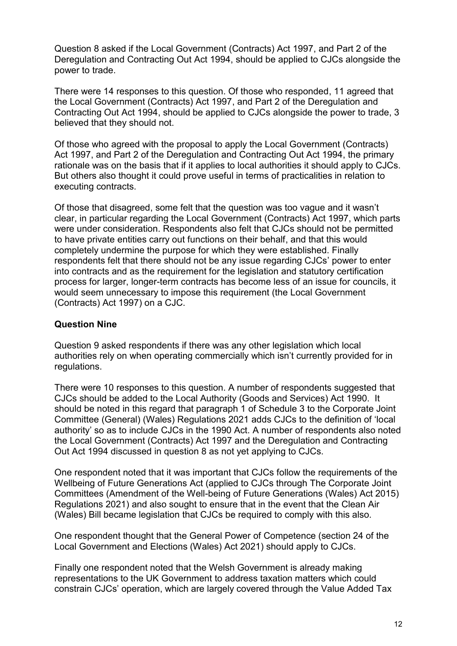Question 8 asked if the Local Government (Contracts) Act 1997, and Part 2 of the Deregulation and Contracting Out Act 1994, should be applied to CJCs alongside the power to trade.

There were 14 responses to this question. Of those who responded, 11 agreed that the Local Government (Contracts) Act 1997, and Part 2 of the Deregulation and Contracting Out Act 1994, should be applied to CJCs alongside the power to trade, 3 believed that they should not.

Of those who agreed with the proposal to apply the Local Government (Contracts) Act 1997, and Part 2 of the Deregulation and Contracting Out Act 1994, the primary rationale was on the basis that if it applies to local authorities it should apply to CJCs. But others also thought it could prove useful in terms of practicalities in relation to executing contracts.

Of those that disagreed, some felt that the question was too vague and it wasn't clear, in particular regarding the Local Government (Contracts) Act 1997, which parts were under consideration. Respondents also felt that CJCs should not be permitted to have private entities carry out functions on their behalf, and that this would completely undermine the purpose for which they were established. Finally respondents felt that there should not be any issue regarding CJCs' power to enter into contracts and as the requirement for the legislation and statutory certification process for larger, longer-term contracts has become less of an issue for councils, it would seem unnecessary to impose this requirement (the Local Government (Contracts) Act 1997) on a CJC.

#### **Question Nine**

Question 9 asked respondents if there was any other legislation which local authorities rely on when operating commercially which isn't currently provided for in regulations.

There were 10 responses to this question. A number of respondents suggested that CJCs should be added to the Local Authority (Goods and Services) Act 1990. It should be noted in this regard that paragraph 1 of Schedule 3 to the Corporate Joint Committee (General) (Wales) Regulations 2021 adds CJCs to the definition of 'local authority' so as to include CJCs in the 1990 Act. A number of respondents also noted the Local Government (Contracts) Act 1997 and the Deregulation and Contracting Out Act 1994 discussed in question 8 as not yet applying to CJCs.

One respondent noted that it was important that CJCs follow the requirements of the Wellbeing of Future Generations Act (applied to CJCs through The Corporate Joint Committees (Amendment of the Well-being of Future Generations (Wales) Act 2015) Regulations 2021) and also sought to ensure that in the event that the Clean Air (Wales) Bill became legislation that CJCs be required to comply with this also.

One respondent thought that the General Power of Competence (section 24 of the Local Government and Elections (Wales) Act 2021) should apply to CJCs.

Finally one respondent noted that the Welsh Government is already making representations to the UK Government to address taxation matters which could constrain CJCs' operation, which are largely covered through the Value Added Tax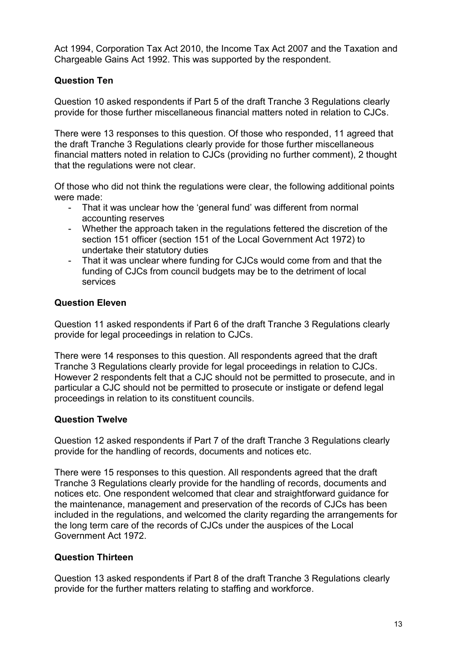Act 1994, Corporation Tax Act 2010, the Income Tax Act 2007 and the Taxation and Chargeable Gains Act 1992. This was supported by the respondent.

## **Question Ten**

Question 10 asked respondents if Part 5 of the draft Tranche 3 Regulations clearly provide for those further miscellaneous financial matters noted in relation to CJCs.

There were 13 responses to this question. Of those who responded, 11 agreed that the draft Tranche 3 Regulations clearly provide for those further miscellaneous financial matters noted in relation to CJCs (providing no further comment), 2 thought that the regulations were not clear.

Of those who did not think the regulations were clear, the following additional points were made:

- That it was unclear how the 'general fund' was different from normal accounting reserves
- Whether the approach taken in the regulations fettered the discretion of the section 151 officer (section 151 of the Local Government Act 1972) to undertake their statutory duties
- That it was unclear where funding for CJCs would come from and that the funding of CJCs from council budgets may be to the detriment of local services

#### **Question Eleven**

Question 11 asked respondents if Part 6 of the draft Tranche 3 Regulations clearly provide for legal proceedings in relation to CJCs.

There were 14 responses to this question. All respondents agreed that the draft Tranche 3 Regulations clearly provide for legal proceedings in relation to CJCs. However 2 respondents felt that a CJC should not be permitted to prosecute, and in particular a CJC should not be permitted to prosecute or instigate or defend legal proceedings in relation to its constituent councils.

#### **Question Twelve**

Question 12 asked respondents if Part 7 of the draft Tranche 3 Regulations clearly provide for the handling of records, documents and notices etc.

There were 15 responses to this question. All respondents agreed that the draft Tranche 3 Regulations clearly provide for the handling of records, documents and notices etc. One respondent welcomed that clear and straightforward guidance for the maintenance, management and preservation of the records of CJCs has been included in the regulations, and welcomed the clarity regarding the arrangements for the long term care of the records of CJCs under the auspices of the Local Government Act 1972.

## **Question Thirteen**

Question 13 asked respondents if Part 8 of the draft Tranche 3 Regulations clearly provide for the further matters relating to staffing and workforce.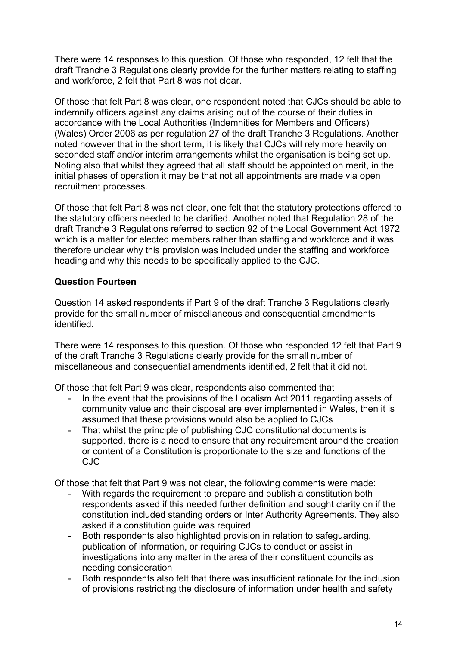There were 14 responses to this question. Of those who responded, 12 felt that the draft Tranche 3 Regulations clearly provide for the further matters relating to staffing and workforce, 2 felt that Part 8 was not clear.

Of those that felt Part 8 was clear, one respondent noted that CJCs should be able to indemnify officers against any claims arising out of the course of their duties in accordance with the Local Authorities (Indemnities for Members and Officers) (Wales) Order 2006 as per regulation 27 of the draft Tranche 3 Regulations. Another noted however that in the short term, it is likely that CJCs will rely more heavily on seconded staff and/or interim arrangements whilst the organisation is being set up. Noting also that whilst they agreed that all staff should be appointed on merit, in the initial phases of operation it may be that not all appointments are made via open recruitment processes.

Of those that felt Part 8 was not clear, one felt that the statutory protections offered to the statutory officers needed to be clarified. Another noted that Regulation 28 of the draft Tranche 3 Regulations referred to section 92 of the Local Government Act 1972 which is a matter for elected members rather than staffing and workforce and it was therefore unclear why this provision was included under the staffing and workforce heading and why this needs to be specifically applied to the CJC.

### **Question Fourteen**

Question 14 asked respondents if Part 9 of the draft Tranche 3 Regulations clearly provide for the small number of miscellaneous and consequential amendments identified.

There were 14 responses to this question. Of those who responded 12 felt that Part 9 of the draft Tranche 3 Regulations clearly provide for the small number of miscellaneous and consequential amendments identified, 2 felt that it did not.

Of those that felt Part 9 was clear, respondents also commented that

- In the event that the provisions of the Localism Act 2011 regarding assets of community value and their disposal are ever implemented in Wales, then it is assumed that these provisions would also be applied to CJCs
- That whilst the principle of publishing CJC constitutional documents is supported, there is a need to ensure that any requirement around the creation or content of a Constitution is proportionate to the size and functions of the CJC

Of those that felt that Part 9 was not clear, the following comments were made:

- With regards the requirement to prepare and publish a constitution both respondents asked if this needed further definition and sought clarity on if the constitution included standing orders or Inter Authority Agreements. They also asked if a constitution quide was required
- Both respondents also highlighted provision in relation to safeguarding, publication of information, or requiring CJCs to conduct or assist in investigations into any matter in the area of their constituent councils as needing consideration
- Both respondents also felt that there was insufficient rationale for the inclusion of provisions restricting the disclosure of information under health and safety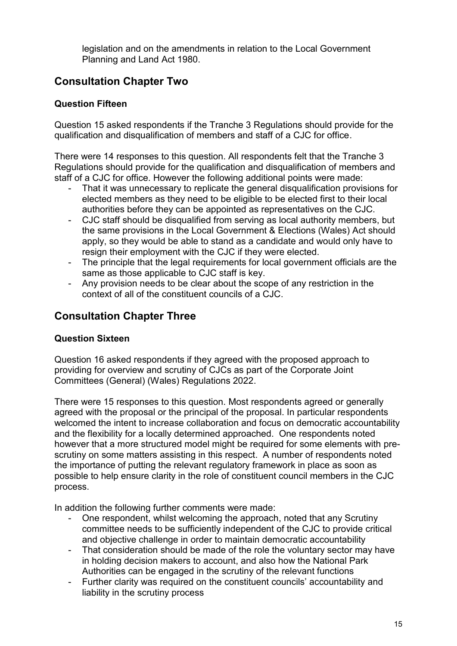legislation and on the amendments in relation to the Local Government Planning and Land Act 1980.

# <span id="page-14-0"></span>**Consultation Chapter Two**

## **Question Fifteen**

Question 15 asked respondents if the Tranche 3 Regulations should provide for the qualification and disqualification of members and staff of a CJC for office.

There were 14 responses to this question. All respondents felt that the Tranche 3 Regulations should provide for the qualification and disqualification of members and staff of a CJC for office. However the following additional points were made:

- That it was unnecessary to replicate the general disqualification provisions for elected members as they need to be eligible to be elected first to their local authorities before they can be appointed as representatives on the CJC.
- CJC staff should be disqualified from serving as local authority members, but the same provisions in the Local Government & Elections (Wales) Act should apply, so they would be able to stand as a candidate and would only have to resign their employment with the CJC if they were elected.
- The principle that the legal requirements for local government officials are the same as those applicable to CJC staff is key.
- Any provision needs to be clear about the scope of any restriction in the context of all of the constituent councils of a CJC.

# <span id="page-14-1"></span>**Consultation Chapter Three**

## **Question Sixteen**

Question 16 asked respondents if they agreed with the proposed approach to providing for overview and scrutiny of CJCs as part of the Corporate Joint Committees (General) (Wales) Regulations 2022.

There were 15 responses to this question. Most respondents agreed or generally agreed with the proposal or the principal of the proposal. In particular respondents welcomed the intent to increase collaboration and focus on democratic accountability and the flexibility for a locally determined approached. One respondents noted however that a more structured model might be required for some elements with prescrutiny on some matters assisting in this respect. A number of respondents noted the importance of putting the relevant regulatory framework in place as soon as possible to help ensure clarity in the role of constituent council members in the CJC process.

In addition the following further comments were made:

- One respondent, whilst welcoming the approach, noted that any Scrutiny committee needs to be sufficiently independent of the CJC to provide critical and objective challenge in order to maintain democratic accountability
- That consideration should be made of the role the voluntary sector may have in holding decision makers to account, and also how the National Park Authorities can be engaged in the scrutiny of the relevant functions
- Further clarity was required on the constituent councils' accountability and liability in the scrutiny process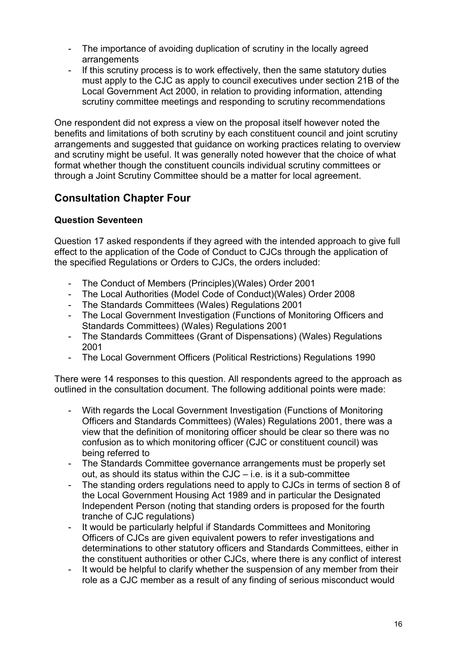- The importance of avoiding duplication of scrutiny in the locally agreed arrangements
- If this scrutiny process is to work effectively, then the same statutory duties must apply to the CJC as apply to council executives under section 21B of the Local Government Act 2000, in relation to providing information, attending scrutiny committee meetings and responding to scrutiny recommendations

One respondent did not express a view on the proposal itself however noted the benefits and limitations of both scrutiny by each constituent council and joint scrutiny arrangements and suggested that guidance on working practices relating to overview and scrutiny might be useful. It was generally noted however that the choice of what format whether though the constituent councils individual scrutiny committees or through a Joint Scrutiny Committee should be a matter for local agreement.

# <span id="page-15-0"></span>**Consultation Chapter Four**

#### **Question Seventeen**

Question 17 asked respondents if they agreed with the intended approach to give full effect to the application of the Code of Conduct to CJCs through the application of the specified Regulations or Orders to CJCs, the orders included:

- The Conduct of Members (Principles)(Wales) Order 2001
- The Local Authorities (Model Code of Conduct)(Wales) Order 2008
- The Standards Committees (Wales) Regulations 2001
- The Local Government Investigation (Functions of Monitoring Officers and Standards Committees) (Wales) Regulations 2001
- The Standards Committees (Grant of Dispensations) (Wales) Regulations 2001
- The Local Government Officers (Political Restrictions) Regulations 1990

There were 14 responses to this question. All respondents agreed to the approach as outlined in the consultation document. The following additional points were made:

- With regards the Local Government Investigation (Functions of Monitoring Officers and Standards Committees) (Wales) Regulations 2001, there was a view that the definition of monitoring officer should be clear so there was no confusion as to which monitoring officer (CJC or constituent council) was being referred to
- The Standards Committee governance arrangements must be properly set out, as should its status within the CJC – i.e. is it a sub-committee
- The standing orders regulations need to apply to CJCs in terms of section 8 of the Local Government Housing Act 1989 and in particular the Designated Independent Person (noting that standing orders is proposed for the fourth tranche of CJC regulations)
- It would be particularly helpful if Standards Committees and Monitoring Officers of CJCs are given equivalent powers to refer investigations and determinations to other statutory officers and Standards Committees, either in the constituent authorities or other CJCs, where there is any conflict of interest
- It would be helpful to clarify whether the suspension of any member from their role as a CJC member as a result of any finding of serious misconduct would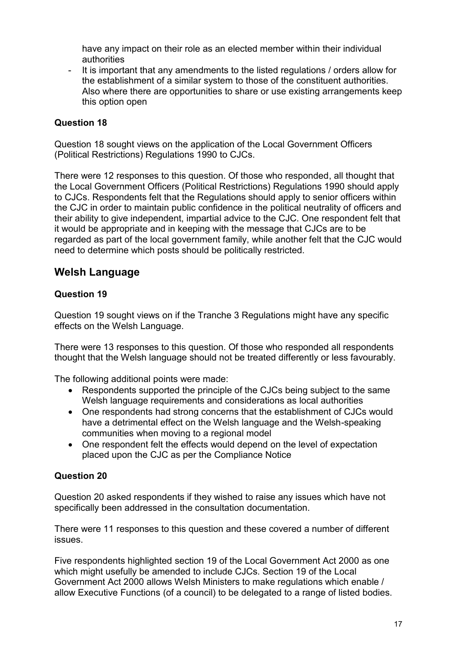have any impact on their role as an elected member within their individual authorities

- It is important that any amendments to the listed regulations / orders allow for the establishment of a similar system to those of the constituent authorities. Also where there are opportunities to share or use existing arrangements keep this option open

### **Question 18**

Question 18 sought views on the application of the Local Government Officers (Political Restrictions) Regulations 1990 to CJCs.

There were 12 responses to this question. Of those who responded, all thought that the Local Government Officers (Political Restrictions) Regulations 1990 should apply to CJCs. Respondents felt that the Regulations should apply to senior officers within the CJC in order to maintain public confidence in the political neutrality of officers and their ability to give independent, impartial advice to the CJC. One respondent felt that it would be appropriate and in keeping with the message that CJCs are to be regarded as part of the local government family, while another felt that the CJC would need to determine which posts should be politically restricted.

## <span id="page-16-0"></span>**Welsh Language**

### **Question 19**

Question 19 sought views on if the Tranche 3 Regulations might have any specific effects on the Welsh Language.

There were 13 responses to this question. Of those who responded all respondents thought that the Welsh language should not be treated differently or less favourably.

The following additional points were made:

- Respondents supported the principle of the CJCs being subject to the same Welsh language requirements and considerations as local authorities
- One respondents had strong concerns that the establishment of CJCs would have a detrimental effect on the Welsh language and the Welsh-speaking communities when moving to a regional model
- One respondent felt the effects would depend on the level of expectation placed upon the CJC as per the Compliance Notice

## **Question 20**

Question 20 asked respondents if they wished to raise any issues which have not specifically been addressed in the consultation documentation.

There were 11 responses to this question and these covered a number of different issues.

Five respondents highlighted section 19 of the Local Government Act 2000 as one which might usefully be amended to include CJCs. Section 19 of the Local Government Act 2000 allows Welsh Ministers to make regulations which enable / allow Executive Functions (of a council) to be delegated to a range of listed bodies.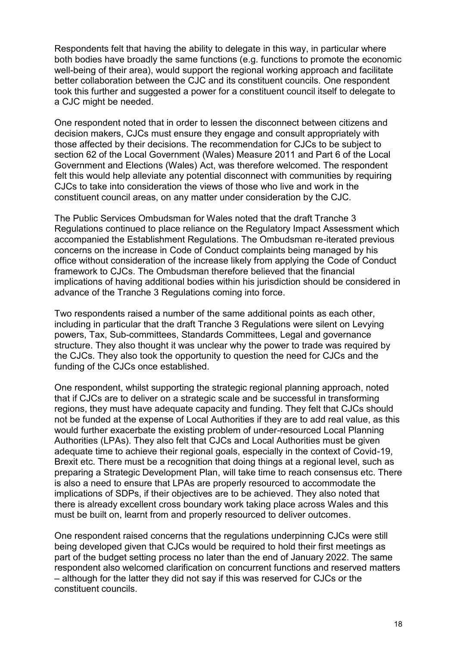Respondents felt that having the ability to delegate in this way, in particular where both bodies have broadly the same functions (e.g. functions to promote the economic well-being of their area), would support the regional working approach and facilitate better collaboration between the CJC and its constituent councils. One respondent took this further and suggested a power for a constituent council itself to delegate to a CJC might be needed.

One respondent noted that in order to lessen the disconnect between citizens and decision makers, CJCs must ensure they engage and consult appropriately with those affected by their decisions. The recommendation for CJCs to be subject to section 62 of the Local Government (Wales) Measure 2011 and Part 6 of the Local Government and Elections (Wales) Act, was therefore welcomed. The respondent felt this would help alleviate any potential disconnect with communities by requiring CJCs to take into consideration the views of those who live and work in the constituent council areas, on any matter under consideration by the CJC.

The Public Services Ombudsman for Wales noted that the draft Tranche 3 Regulations continued to place reliance on the Regulatory Impact Assessment which accompanied the Establishment Regulations. The Ombudsman re-iterated previous concerns on the increase in Code of Conduct complaints being managed by his office without consideration of the increase likely from applying the Code of Conduct framework to CJCs. The Ombudsman therefore believed that the financial implications of having additional bodies within his jurisdiction should be considered in advance of the Tranche 3 Regulations coming into force.

Two respondents raised a number of the same additional points as each other, including in particular that the draft Tranche 3 Regulations were silent on Levying powers, Tax, Sub-committees, Standards Committees, Legal and governance structure. They also thought it was unclear why the power to trade was required by the CJCs. They also took the opportunity to question the need for CJCs and the funding of the CJCs once established.

One respondent, whilst supporting the strategic regional planning approach, noted that if CJCs are to deliver on a strategic scale and be successful in transforming regions, they must have adequate capacity and funding. They felt that CJCs should not be funded at the expense of Local Authorities if they are to add real value, as this would further exacerbate the existing problem of under-resourced Local Planning Authorities (LPAs). They also felt that CJCs and Local Authorities must be given adequate time to achieve their regional goals, especially in the context of Covid-19, Brexit etc. There must be a recognition that doing things at a regional level, such as preparing a Strategic Development Plan, will take time to reach consensus etc. There is also a need to ensure that LPAs are properly resourced to accommodate the implications of SDPs, if their objectives are to be achieved. They also noted that there is already excellent cross boundary work taking place across Wales and this must be built on, learnt from and properly resourced to deliver outcomes.

One respondent raised concerns that the regulations underpinning CJCs were still being developed given that CJCs would be required to hold their first meetings as part of the budget setting process no later than the end of January 2022. The same respondent also welcomed clarification on concurrent functions and reserved matters – although for the latter they did not say if this was reserved for CJCs or the constituent councils.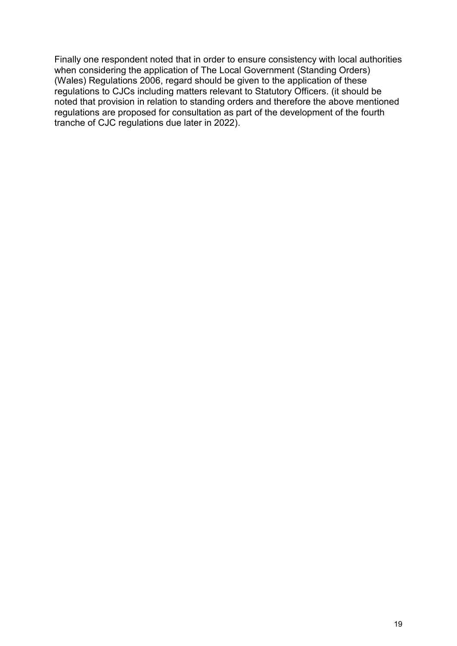Finally one respondent noted that in order to ensure consistency with local authorities when considering the application of The Local Government (Standing Orders) (Wales) Regulations 2006, regard should be given to the application of these regulations to CJCs including matters relevant to Statutory Officers. (it should be noted that provision in relation to standing orders and therefore the above mentioned regulations are proposed for consultation as part of the development of the fourth tranche of CJC regulations due later in 2022).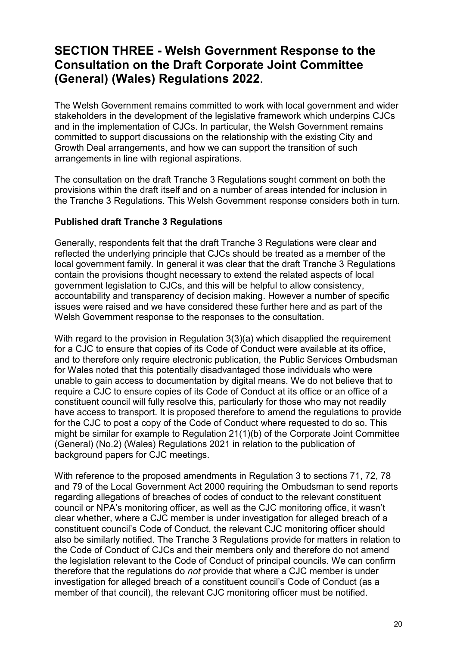# <span id="page-19-0"></span>**SECTION THREE - Welsh Government Response to the Consultation on the Draft Corporate Joint Committee (General) (Wales) Regulations 2022**.

The Welsh Government remains committed to work with local government and wider stakeholders in the development of the legislative framework which underpins CJCs and in the implementation of CJCs. In particular, the Welsh Government remains committed to support discussions on the relationship with the existing City and Growth Deal arrangements, and how we can support the transition of such arrangements in line with regional aspirations.

The consultation on the draft Tranche 3 Regulations sought comment on both the provisions within the draft itself and on a number of areas intended for inclusion in the Tranche 3 Regulations. This Welsh Government response considers both in turn.

#### **Published draft Tranche 3 Regulations**

Generally, respondents felt that the draft Tranche 3 Regulations were clear and reflected the underlying principle that CJCs should be treated as a member of the local government family. In general it was clear that the draft Tranche 3 Regulations contain the provisions thought necessary to extend the related aspects of local government legislation to CJCs, and this will be helpful to allow consistency, accountability and transparency of decision making. However a number of specific issues were raised and we have considered these further here and as part of the Welsh Government response to the responses to the consultation.

With regard to the provision in Regulation 3(3)(a) which disapplied the requirement for a CJC to ensure that copies of its Code of Conduct were available at its office, and to therefore only require electronic publication, the Public Services Ombudsman for Wales noted that this potentially disadvantaged those individuals who were unable to gain access to documentation by digital means. We do not believe that to require a CJC to ensure copies of its Code of Conduct at its office or an office of a constituent council will fully resolve this, particularly for those who may not readily have access to transport. It is proposed therefore to amend the regulations to provide for the CJC to post a copy of the Code of Conduct where requested to do so. This might be similar for example to Regulation 21(1)(b) of the Corporate Joint Committee (General) (No.2) (Wales) Regulations 2021 in relation to the publication of background papers for CJC meetings.

With reference to the proposed amendments in Regulation 3 to sections 71, 72, 78 and 79 of the Local Government Act 2000 requiring the Ombudsman to send reports regarding allegations of breaches of codes of conduct to the relevant constituent council or NPA's monitoring officer, as well as the CJC monitoring office, it wasn't clear whether, where a CJC member is under investigation for alleged breach of a constituent council's Code of Conduct, the relevant CJC monitoring officer should also be similarly notified. The Tranche 3 Regulations provide for matters in relation to the Code of Conduct of CJCs and their members only and therefore do not amend the legislation relevant to the Code of Conduct of principal councils. We can confirm therefore that the regulations do *not* provide that where a CJC member is under investigation for alleged breach of a constituent council's Code of Conduct (as a member of that council), the relevant CJC monitoring officer must be notified.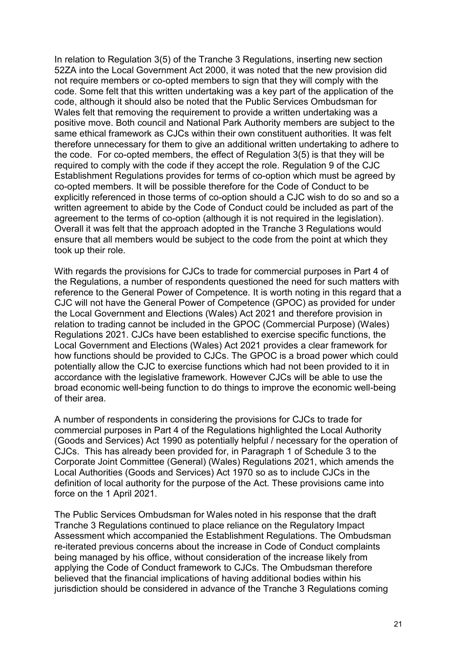In relation to Regulation 3(5) of the Tranche 3 Regulations, inserting new section 52ZA into the Local Government Act 2000, it was noted that the new provision did not require members or co-opted members to sign that they will comply with the code. Some felt that this written undertaking was a key part of the application of the code, although it should also be noted that the Public Services Ombudsman for Wales felt that removing the requirement to provide a written undertaking was a positive move. Both council and National Park Authority members are subject to the same ethical framework as CJCs within their own constituent authorities. It was felt therefore unnecessary for them to give an additional written undertaking to adhere to the code. For co-opted members, the effect of Regulation 3(5) is that they will be required to comply with the code if they accept the role. Regulation 9 of the CJC Establishment Regulations provides for terms of co-option which must be agreed by co-opted members. It will be possible therefore for the Code of Conduct to be explicitly referenced in those terms of co-option should a CJC wish to do so and so a written agreement to abide by the Code of Conduct could be included as part of the agreement to the terms of co-option (although it is not required in the legislation). Overall it was felt that the approach adopted in the Tranche 3 Regulations would ensure that all members would be subject to the code from the point at which they took up their role.

With regards the provisions for CJCs to trade for commercial purposes in Part 4 of the Regulations, a number of respondents questioned the need for such matters with reference to the General Power of Competence. It is worth noting in this regard that a CJC will not have the General Power of Competence (GPOC) as provided for under the Local Government and Elections (Wales) Act 2021 and therefore provision in relation to trading cannot be included in the GPOC (Commercial Purpose) (Wales) Regulations 2021. CJCs have been established to exercise specific functions, the Local Government and Elections (Wales) Act 2021 provides a clear framework for how functions should be provided to CJCs. The GPOC is a broad power which could potentially allow the CJC to exercise functions which had not been provided to it in accordance with the legislative framework. However CJCs will be able to use the broad economic well-being function to do things to improve the economic well-being of their area.

A number of respondents in considering the provisions for CJCs to trade for commercial purposes in Part 4 of the Regulations highlighted the Local Authority (Goods and Services) Act 1990 as potentially helpful / necessary for the operation of CJCs. This has already been provided for, in Paragraph 1 of Schedule 3 to the Corporate Joint Committee (General) (Wales) Regulations 2021, which amends the Local Authorities (Goods and Services) Act 1970 so as to include CJCs in the definition of local authority for the purpose of the Act. These provisions came into force on the 1 April 2021.

The Public Services Ombudsman for Wales noted in his response that the draft Tranche 3 Regulations continued to place reliance on the Regulatory Impact Assessment which accompanied the Establishment Regulations. The Ombudsman re-iterated previous concerns about the increase in Code of Conduct complaints being managed by his office, without consideration of the increase likely from applying the Code of Conduct framework to CJCs. The Ombudsman therefore believed that the financial implications of having additional bodies within his jurisdiction should be considered in advance of the Tranche 3 Regulations coming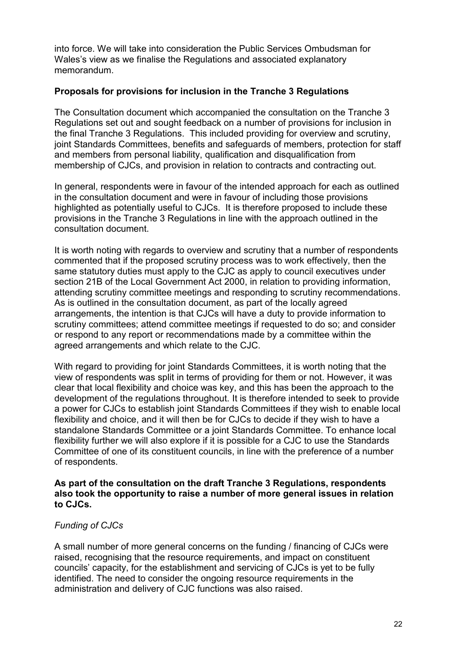into force. We will take into consideration the Public Services Ombudsman for Wales's view as we finalise the Regulations and associated explanatory memorandum.

#### **Proposals for provisions for inclusion in the Tranche 3 Regulations**

The Consultation document which accompanied the consultation on the Tranche 3 Regulations set out and sought feedback on a number of provisions for inclusion in the final Tranche 3 Regulations. This included providing for overview and scrutiny, joint Standards Committees, benefits and safeguards of members, protection for staff and members from personal liability, qualification and disqualification from membership of CJCs, and provision in relation to contracts and contracting out.

In general, respondents were in favour of the intended approach for each as outlined in the consultation document and were in favour of including those provisions highlighted as potentially useful to CJCs. It is therefore proposed to include these provisions in the Tranche 3 Regulations in line with the approach outlined in the consultation document.

It is worth noting with regards to overview and scrutiny that a number of respondents commented that if the proposed scrutiny process was to work effectively, then the same statutory duties must apply to the CJC as apply to council executives under section 21B of the Local Government Act 2000, in relation to providing information, attending scrutiny committee meetings and responding to scrutiny recommendations. As is outlined in the consultation document, as part of the locally agreed arrangements, the intention is that CJCs will have a duty to provide information to scrutiny committees; attend committee meetings if requested to do so; and consider or respond to any report or recommendations made by a committee within the agreed arrangements and which relate to the CJC.

With regard to providing for joint Standards Committees, it is worth noting that the view of respondents was split in terms of providing for them or not. However, it was clear that local flexibility and choice was key, and this has been the approach to the development of the regulations throughout. It is therefore intended to seek to provide a power for CJCs to establish joint Standards Committees if they wish to enable local flexibility and choice, and it will then be for CJCs to decide if they wish to have a standalone Standards Committee or a joint Standards Committee. To enhance local flexibility further we will also explore if it is possible for a CJC to use the Standards Committee of one of its constituent councils, in line with the preference of a number of respondents.

#### **As part of the consultation on the draft Tranche 3 Regulations, respondents also took the opportunity to raise a number of more general issues in relation to CJCs.**

#### *Funding of CJCs*

A small number of more general concerns on the funding / financing of CJCs were raised, recognising that the resource requirements, and impact on constituent councils' capacity, for the establishment and servicing of CJCs is yet to be fully identified. The need to consider the ongoing resource requirements in the administration and delivery of CJC functions was also raised.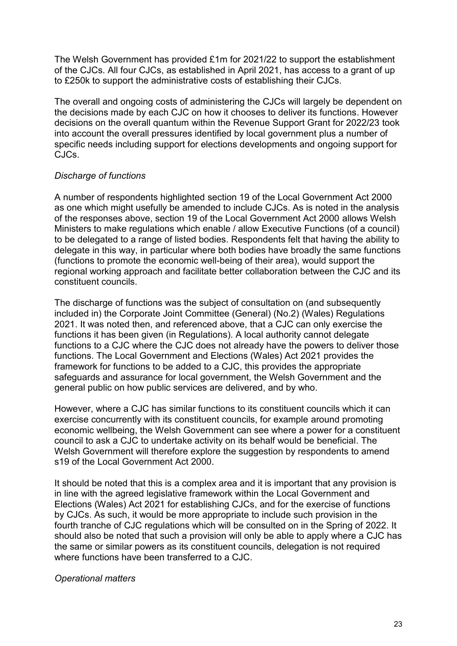The Welsh Government has provided £1m for 2021/22 to support the establishment of the CJCs. All four CJCs, as established in April 2021, has access to a grant of up to £250k to support the administrative costs of establishing their CJCs.

The overall and ongoing costs of administering the CJCs will largely be dependent on the decisions made by each CJC on how it chooses to deliver its functions. However decisions on the overall quantum within the Revenue Support Grant for 2022/23 took into account the overall pressures identified by local government plus a number of specific needs including support for elections developments and ongoing support for CJCs.

#### *Discharge of functions*

A number of respondents highlighted section 19 of the Local Government Act 2000 as one which might usefully be amended to include CJCs. As is noted in the analysis of the responses above, section 19 of the Local Government Act 2000 allows Welsh Ministers to make regulations which enable / allow Executive Functions (of a council) to be delegated to a range of listed bodies. Respondents felt that having the ability to delegate in this way, in particular where both bodies have broadly the same functions (functions to promote the economic well-being of their area), would support the regional working approach and facilitate better collaboration between the CJC and its constituent councils.

The discharge of functions was the subject of consultation on (and subsequently included in) the Corporate Joint Committee (General) (No.2) (Wales) Regulations 2021. It was noted then, and referenced above, that a CJC can only exercise the functions it has been given (in Regulations). A local authority cannot delegate functions to a CJC where the CJC does not already have the powers to deliver those functions. The Local Government and Elections (Wales) Act 2021 provides the framework for functions to be added to a CJC, this provides the appropriate safeguards and assurance for local government, the Welsh Government and the general public on how public services are delivered, and by who.

However, where a CJC has similar functions to its constituent councils which it can exercise concurrently with its constituent councils, for example around promoting economic wellbeing, the Welsh Government can see where a power for a constituent council to ask a CJC to undertake activity on its behalf would be beneficial. The Welsh Government will therefore explore the suggestion by respondents to amend s19 of the Local Government Act 2000.

It should be noted that this is a complex area and it is important that any provision is in line with the agreed legislative framework within the Local Government and Elections (Wales) Act 2021 for establishing CJCs, and for the exercise of functions by CJCs. As such, it would be more appropriate to include such provision in the fourth tranche of CJC regulations which will be consulted on in the Spring of 2022. It should also be noted that such a provision will only be able to apply where a CJC has the same or similar powers as its constituent councils, delegation is not required where functions have been transferred to a CJC.

#### *Operational matters*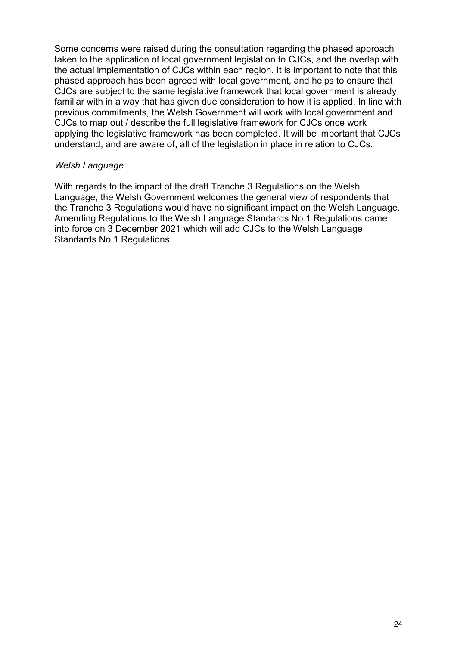Some concerns were raised during the consultation regarding the phased approach taken to the application of local government legislation to CJCs, and the overlap with the actual implementation of CJCs within each region. It is important to note that this phased approach has been agreed with local government, and helps to ensure that CJCs are subject to the same legislative framework that local government is already familiar with in a way that has given due consideration to how it is applied. In line with previous commitments, the Welsh Government will work with local government and CJCs to map out / describe the full legislative framework for CJCs once work applying the legislative framework has been completed. It will be important that CJCs understand, and are aware of, all of the legislation in place in relation to CJCs.

#### *Welsh Language*

With regards to the impact of the draft Tranche 3 Regulations on the Welsh Language, the Welsh Government welcomes the general view of respondents that the Tranche 3 Regulations would have no significant impact on the Welsh Language. Amending Regulations to the Welsh Language Standards No.1 Regulations came into force on 3 December 2021 which will add CJCs to the Welsh Language Standards No.1 Regulations.